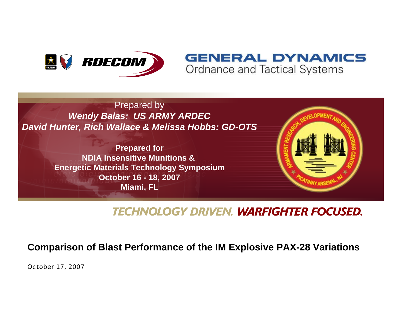

### **GENERAL DYNAMICS** Ordnance and Tactical Systems

Prepared by *Wendy Balas: US ARMY ARDEC David Hunter, Rich Wallace & Melissa Hobbs: GD-OTS*

> **Prepared for NDIA Insensitive Munitions & Energetic Materials Technology Symposium October 16 - 18, 2007 Miami, FL**



### **TECHNOLOGY DRIVEN. WARFIGHTER FOCUSED.**

#### **Comparison of Blast Performance of the IM Explosive PAX-28 Variations**

October 17, 2007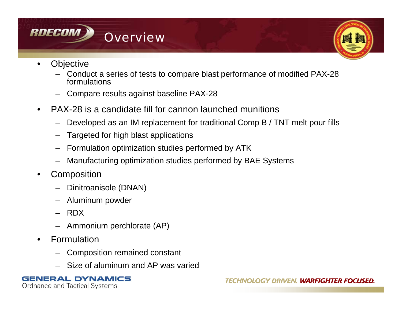

- **Objective** 
	- Conduct a series of tests to compare blast performance of modified PAX-28 formulations
	- Compare results against baseline PAX-28
- PAX-28 is a candidate fill for cannon launched munitions
	- Developed as an IM replacement for traditional Comp B / TNT melt pour fills
	- Targeted for high blast applications
	- Formulation optimization studies performed by ATK
	- Manufacturing optimization studies performed by BAE Systems
- **Composition** 
	- Dinitroanisole (DNAN)
	- Aluminum powder
	- RDX
	- Ammonium perchlorate (AP)
- **Formulation** 
	- Composition remained constant
	- Size of aluminum and AP was varied

#### **NERAL DYNAMICS** Ordnance and Tactical Systems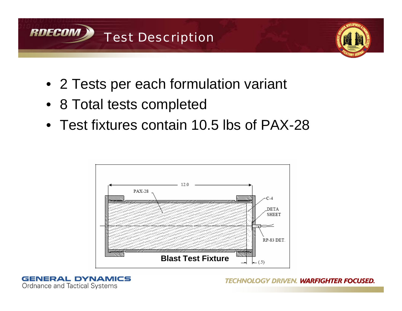



- 2 Tests per each formulation variant
- 8 Total tests completed
- Test fixtures contain 10.5 lbs of PAX-28



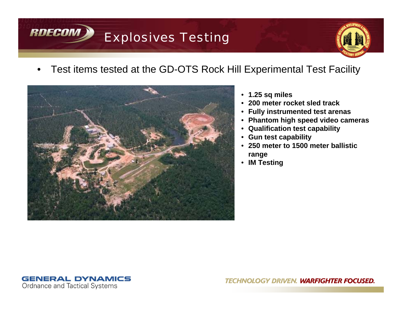# Explosives Testing



### • Test items tested at the GD-OTS Rock Hill Experimental Test Facility



- **1.25 sq miles**
- **200 meter rocket sled track**
- **Fully instrumented test arenas**
- **Phantom high speed video cameras**
- **Qualification test capability**
- **Gun test capability**
- **250 meter to 1500 meter ballistic range**
- **IM Testing**



**RDECOM**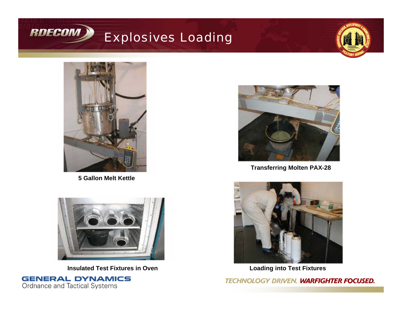

# Explosives Loading





**5 Gallon Melt Kettle**



**Transferring Molten PAX-28**



**Insulated Test Fixtures in Oven**





**Loading into Test Fixtures**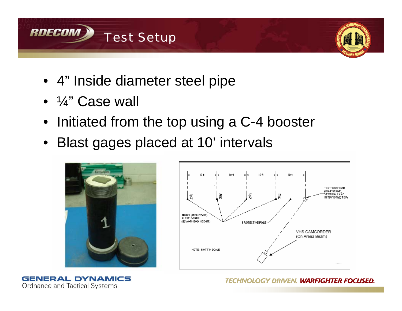



- 4" Inside diameter steel pipe
- ¼" Case wall
- Initiated from the top using a C-4 booster
- Blast gages placed at 10' intervals





**GENERAL DYNAMICS** Ordnance and Tactical Systems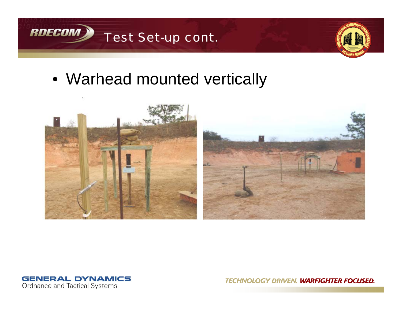



• Warhead mounted vertically



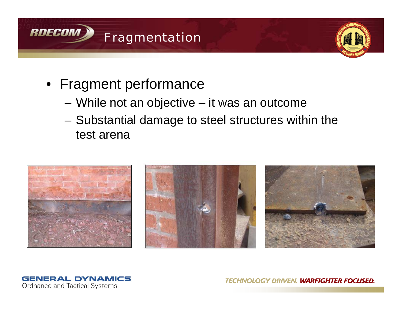



- Fragment performance
	- While not an objective it was an outcome
	- Substantial damage to steel structures within the test arena



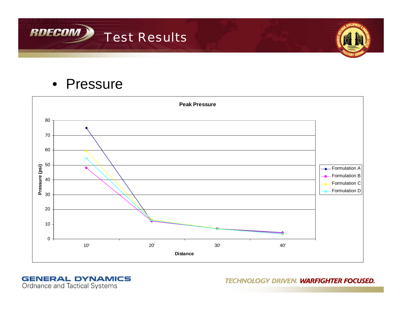



## • Pressure



#### **GENERAL DYNAMICS** Ordnance and Tactical Systems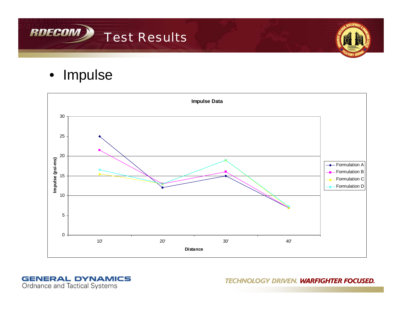



• Impulse



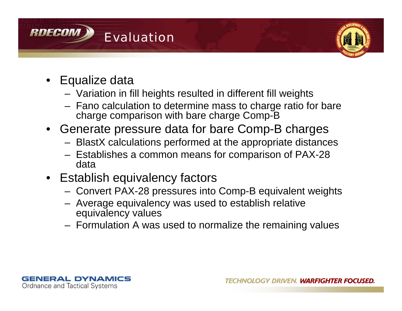



- Equalize data
	- Variation in fill heights resulted in different fill weights
	- Fano calculation to determine mass to charge ratio for bare charge comparison with bare charge Comp-B
- Generate pressure data for bare Comp-B charges
	- BlastX calculations performed at the appropriate distances
	- Establishes a common means for comparison of PAX-28 data
- Establish equivalency factors
	- Convert PAX-28 pressures into Comp-B equivalent weights
	- Average equivalency was used to establish relative equivalency values
	- Formulation A was used to normalize the remaining values

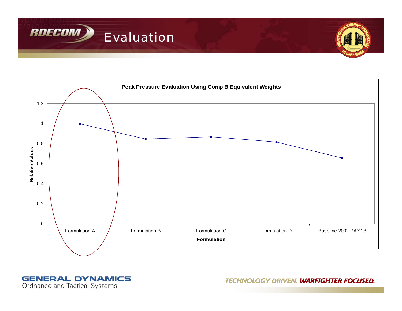



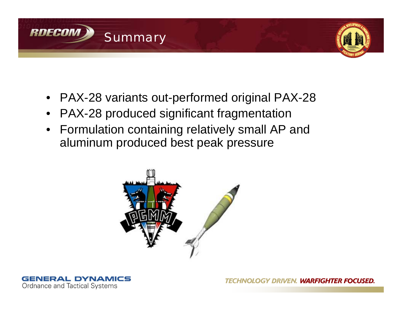



- PAX-28 variants out-performed original PAX-28
- PAX-28 produced significant fragmentation
- Formulation containing relatively small AP and aluminum produced best peak pressure